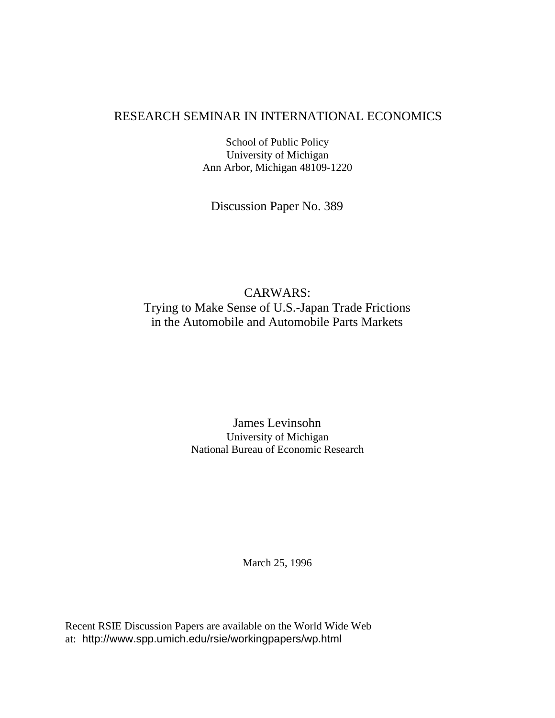## RESEARCH SEMINAR IN INTERNATIONAL ECONOMICS

School of Public Policy University of Michigan Ann Arbor, Michigan 48109-1220

Discussion Paper No. 389

## CARWARS: Trying to Make Sense of U.S.-Japan Trade Frictions in the Automobile and Automobile Parts Markets

## James Levinsohn University of Michigan National Bureau of Economic Research

March 25, 1996

Recent RSIE Discussion Papers are available on the World Wide Web at: http://www.spp.umich.edu/rsie/workingpapers/wp.html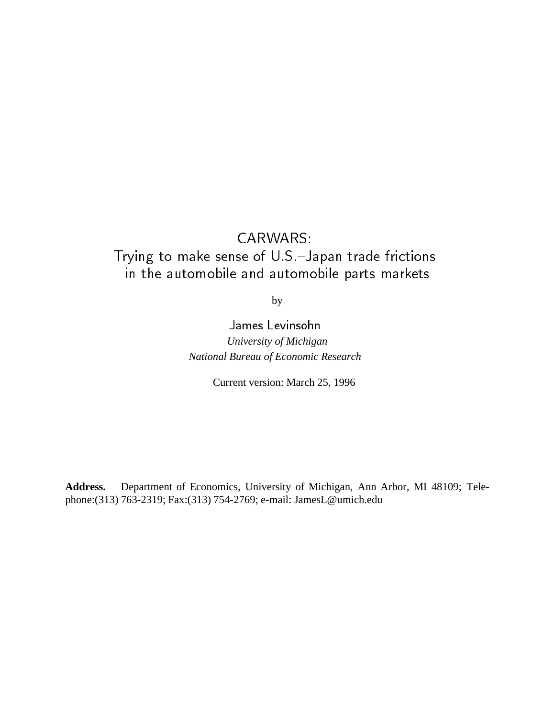# CARWARS: Trying to make sense of U.S.{Japan trade frictions in the automobile and automobile parts markets

by

James Levinsohn *University of Michigan National Bureau of Economic Research*

Current version: March 25, 1996

**Address.** Department of Economics, University of Michigan, Ann Arbor, MI 48109; Telephone:(313) 763-2319; Fax:(313) 754-2769; e-mail: JamesL@umich.edu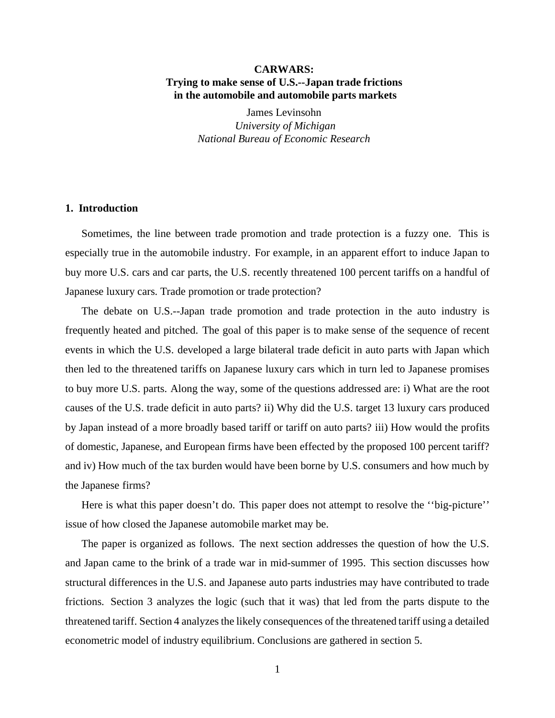### **CARWARS: Trying to make sense of U.S.--Japan trade frictions in the automobile and automobile parts markets**

James Levinsohn *University of Michigan National Bureau of Economic Research*

#### **1. Introduction**

Sometimes, the line between trade promotion and trade protection is a fuzzy one. This is especially true in the automobile industry. For example, in an apparent effort to induce Japan to buy more U.S. cars and car parts, the U.S. recently threatened 100 percent tariffs on a handful of Japanese luxury cars. Trade promotion or trade protection?

The debate on U.S.--Japan trade promotion and trade protection in the auto industry is frequently heated and pitched. The goal of this paper is to make sense of the sequence of recent events in which the U.S. developed a large bilateral trade deficit in auto parts with Japan which then led to the threatened tariffs on Japanese luxury cars which in turn led to Japanese promises to buy more U.S. parts. Along the way, some of the questions addressed are: i) What are the root causes of the U.S. trade deficit in auto parts? ii) Why did the U.S. target 13 luxury cars produced by Japan instead of a more broadly based tariff or tariff on auto parts? iii) How would the profits of domestic, Japanese, and European firms have been effected by the proposed 100 percent tariff? and iv) How much of the tax burden would have been borne by U.S. consumers and how much by the Japanese firms?

Here is what this paper doesn't do. This paper does not attempt to resolve the "big-picture" issue of how closed the Japanese automobile market may be.

The paper is organized as follows. The next section addresses the question of how the U.S. and Japan came to the brink of a trade war in mid-summer of 1995. This section discusses how structural differences in the U.S. and Japanese auto parts industries may have contributed to trade frictions. Section 3 analyzes the logic (such that it was) that led from the parts dispute to the threatened tariff. Section 4 analyzes the likely consequences of the threatened tariff using a detailed econometric model of industry equilibrium. Conclusions are gathered in section 5.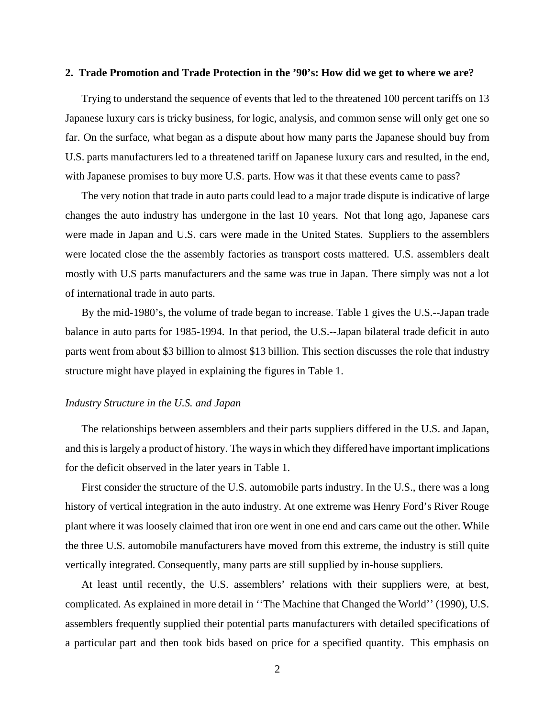#### **2. Trade Promotion and Trade Protection in the '90's: How did we get to where we are?**

Trying to understand the sequence of events that led to the threatened 100 percent tariffs on 13 Japanese luxury cars is tricky business, for logic, analysis, and common sense will only get one so far. On the surface, what began as a dispute about how many parts the Japanese should buy from U.S. parts manufacturers led to a threatened tariff on Japanese luxury cars and resulted, in the end, with Japanese promises to buy more U.S. parts. How was it that these events came to pass?

The very notion that trade in auto parts could lead to a major trade dispute is indicative of large changes the auto industry has undergone in the last 10 years. Not that long ago, Japanese cars were made in Japan and U.S. cars were made in the United States. Suppliers to the assemblers were located close the the assembly factories as transport costs mattered. U.S. assemblers dealt mostly with U.S parts manufacturers and the same was true in Japan. There simply was not a lot of international trade in auto parts.

By the mid-1980's, the volume of trade began to increase. Table 1 gives the U.S.--Japan trade balance in auto parts for 1985-1994. In that period, the U.S.--Japan bilateral trade deficit in auto parts went from about \$3 billion to almost \$13 billion. This section discusses the role that industry structure might have played in explaining the figures in Table 1.

#### *Industry Structure in the U.S. and Japan*

The relationships between assemblers and their parts suppliers differed in the U.S. and Japan, and this is largely a product of history. The ways in which they differed have important implications for the deficit observed in the later years in Table 1.

First consider the structure of the U.S. automobile parts industry. In the U.S., there was a long history of vertical integration in the auto industry. At one extreme was Henry Ford's River Rouge plant where it was loosely claimed that iron ore went in one end and cars came out the other. While the three U.S. automobile manufacturers have moved from this extreme, the industry is still quite vertically integrated. Consequently, many parts are still supplied by in-house suppliers.

At least until recently, the U.S. assemblers' relations with their suppliers were, at best, complicated. As explained in more detail in ''The Machine that Changed the World'' (1990), U.S. assemblers frequently supplied their potential parts manufacturers with detailed specifications of a particular part and then took bids based on price for a specified quantity. This emphasis on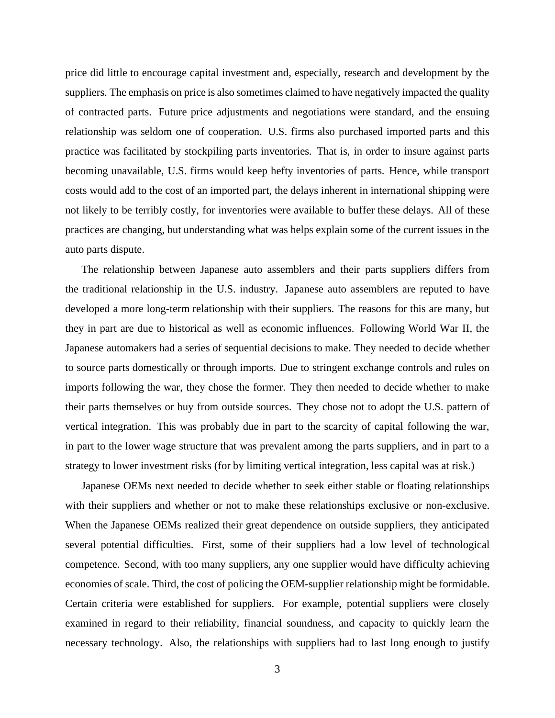price did little to encourage capital investment and, especially, research and development by the suppliers. The emphasis on price is also sometimes claimed to have negatively impacted the quality of contracted parts. Future price adjustments and negotiations were standard, and the ensuing relationship was seldom one of cooperation. U.S. firms also purchased imported parts and this practice was facilitated by stockpiling parts inventories. That is, in order to insure against parts becoming unavailable, U.S. firms would keep hefty inventories of parts. Hence, while transport costs would add to the cost of an imported part, the delays inherent in international shipping were not likely to be terribly costly, for inventories were available to buffer these delays. All of these practices are changing, but understanding what was helps explain some of the current issues in the auto parts dispute.

The relationship between Japanese auto assemblers and their parts suppliers differs from the traditional relationship in the U.S. industry. Japanese auto assemblers are reputed to have developed a more long-term relationship with their suppliers. The reasons for this are many, but they in part are due to historical as well as economic influences. Following World War II, the Japanese automakers had a series of sequential decisions to make. They needed to decide whether to source parts domestically or through imports. Due to stringent exchange controls and rules on imports following the war, they chose the former. They then needed to decide whether to make their parts themselves or buy from outside sources. They chose not to adopt the U.S. pattern of vertical integration. This was probably due in part to the scarcity of capital following the war, in part to the lower wage structure that was prevalent among the parts suppliers, and in part to a strategy to lower investment risks (for by limiting vertical integration, less capital was at risk.)

Japanese OEMs next needed to decide whether to seek either stable or floating relationships with their suppliers and whether or not to make these relationships exclusive or non-exclusive. When the Japanese OEMs realized their great dependence on outside suppliers, they anticipated several potential difficulties. First, some of their suppliers had a low level of technological competence. Second, with too many suppliers, any one supplier would have difficulty achieving economies of scale. Third, the cost of policing the OEM-supplier relationship might be formidable. Certain criteria were established for suppliers. For example, potential suppliers were closely examined in regard to their reliability, financial soundness, and capacity to quickly learn the necessary technology. Also, the relationships with suppliers had to last long enough to justify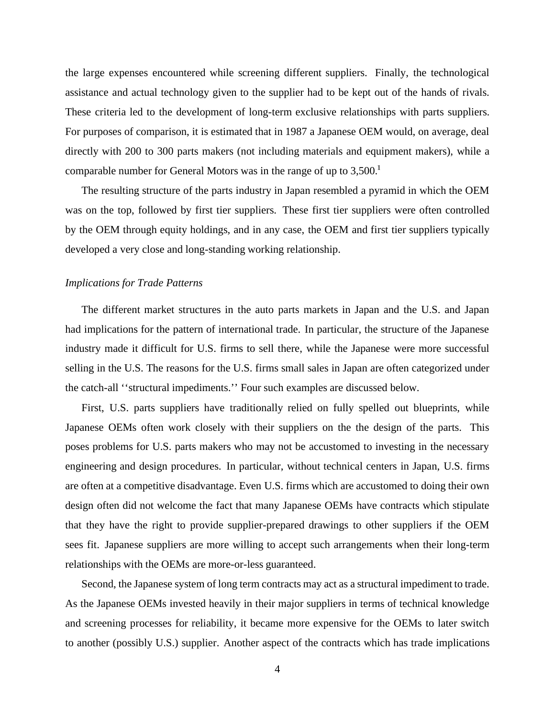the large expenses encountered while screening different suppliers. Finally, the technological assistance and actual technology given to the supplier had to be kept out of the hands of rivals. These criteria led to the development of long-term exclusive relationships with parts suppliers. For purposes of comparison, it is estimated that in 1987 a Japanese OEM would, on average, deal directly with 200 to 300 parts makers (not including materials and equipment makers), while a comparable number for General Motors was in the range of up to  $3,500$ .<sup>1</sup>

The resulting structure of the parts industry in Japan resembled a pyramid in which the OEM was on the top, followed by first tier suppliers. These first tier suppliers were often controlled by the OEM through equity holdings, and in any case, the OEM and first tier suppliers typically developed a very close and long-standing working relationship.

#### *Implications for Trade Patterns*

The different market structures in the auto parts markets in Japan and the U.S. and Japan had implications for the pattern of international trade. In particular, the structure of the Japanese industry made it difficult for U.S. firms to sell there, while the Japanese were more successful selling in the U.S. The reasons for the U.S. firms small sales in Japan are often categorized under the catch-all ''structural impediments.'' Four such examples are discussed below.

First, U.S. parts suppliers have traditionally relied on fully spelled out blueprints, while Japanese OEMs often work closely with their suppliers on the the design of the parts. This poses problems for U.S. parts makers who may not be accustomed to investing in the necessary engineering and design procedures. In particular, without technical centers in Japan, U.S. firms are often at a competitive disadvantage. Even U.S. firms which are accustomed to doing their own design often did not welcome the fact that many Japanese OEMs have contracts which stipulate that they have the right to provide supplier-prepared drawings to other suppliers if the OEM sees fit. Japanese suppliers are more willing to accept such arrangements when their long-term relationships with the OEMs are more-or-less guaranteed.

Second, the Japanese system of long term contracts may act as a structural impediment to trade. As the Japanese OEMs invested heavily in their major suppliers in terms of technical knowledge and screening processes for reliability, it became more expensive for the OEMs to later switch to another (possibly U.S.) supplier. Another aspect of the contracts which has trade implications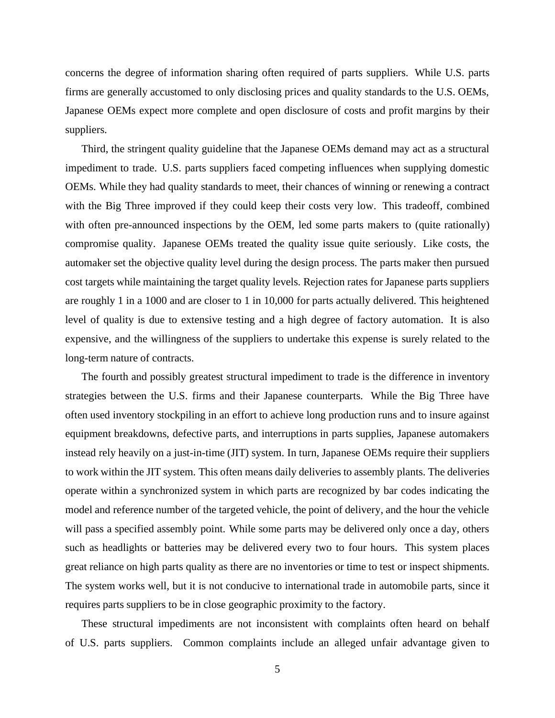concerns the degree of information sharing often required of parts suppliers. While U.S. parts firms are generally accustomed to only disclosing prices and quality standards to the U.S. OEMs, Japanese OEMs expect more complete and open disclosure of costs and profit margins by their suppliers.

Third, the stringent quality guideline that the Japanese OEMs demand may act as a structural impediment to trade. U.S. parts suppliers faced competing influences when supplying domestic OEMs. While they had quality standards to meet, their chances of winning or renewing a contract with the Big Three improved if they could keep their costs very low. This tradeoff, combined with often pre-announced inspections by the OEM, led some parts makers to (quite rationally) compromise quality. Japanese OEMs treated the quality issue quite seriously. Like costs, the automaker set the objective quality level during the design process. The parts maker then pursued cost targets while maintaining the target quality levels. Rejection rates for Japanese parts suppliers are roughly 1 in a 1000 and are closer to 1 in 10,000 for parts actually delivered. This heightened level of quality is due to extensive testing and a high degree of factory automation. It is also expensive, and the willingness of the suppliers to undertake this expense is surely related to the long-term nature of contracts.

The fourth and possibly greatest structural impediment to trade is the difference in inventory strategies between the U.S. firms and their Japanese counterparts. While the Big Three have often used inventory stockpiling in an effort to achieve long production runs and to insure against equipment breakdowns, defective parts, and interruptions in parts supplies, Japanese automakers instead rely heavily on a just-in-time (JIT) system. In turn, Japanese OEMs require their suppliers to work within the JIT system. This often means daily deliveries to assembly plants. The deliveries operate within a synchronized system in which parts are recognized by bar codes indicating the model and reference number of the targeted vehicle, the point of delivery, and the hour the vehicle will pass a specified assembly point. While some parts may be delivered only once a day, others such as headlights or batteries may be delivered every two to four hours. This system places great reliance on high parts quality as there are no inventories or time to test or inspect shipments. The system works well, but it is not conducive to international trade in automobile parts, since it requires parts suppliers to be in close geographic proximity to the factory.

These structural impediments are not inconsistent with complaints often heard on behalf of U.S. parts suppliers. Common complaints include an alleged unfair advantage given to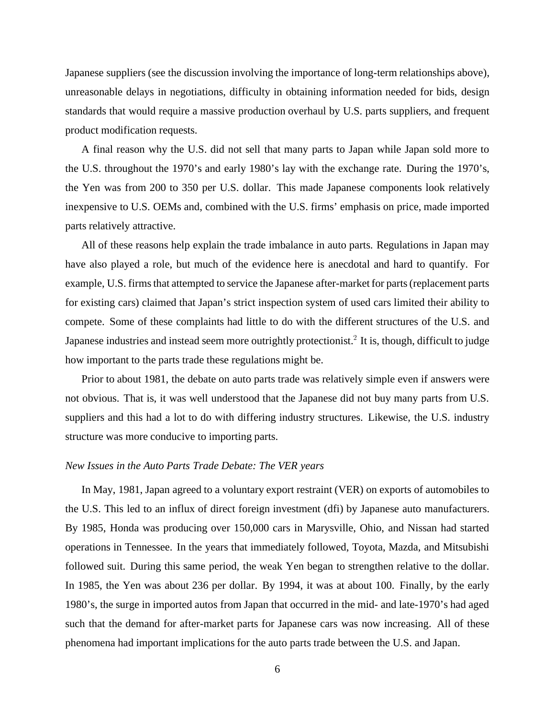Japanese suppliers (see the discussion involving the importance of long-term relationships above), unreasonable delays in negotiations, difficulty in obtaining information needed for bids, design standards that would require a massive production overhaul by U.S. parts suppliers, and frequent product modification requests.

A final reason why the U.S. did not sell that many parts to Japan while Japan sold more to the U.S. throughout the 1970's and early 1980's lay with the exchange rate. During the 1970's, the Yen was from 200 to 350 per U.S. dollar. This made Japanese components look relatively inexpensive to U.S. OEMs and, combined with the U.S. firms' emphasis on price, made imported parts relatively attractive.

All of these reasons help explain the trade imbalance in auto parts. Regulations in Japan may have also played a role, but much of the evidence here is anecdotal and hard to quantify. For example, U.S. firms that attempted to service the Japanese after-market for parts (replacement parts for existing cars) claimed that Japan's strict inspection system of used cars limited their ability to compete. Some of these complaints had little to do with the different structures of the U.S. and Japanese industries and instead seem more outrightly protectionist.<sup>2</sup> It is, though, difficult to judge how important to the parts trade these regulations might be.

Prior to about 1981, the debate on auto parts trade was relatively simple even if answers were not obvious. That is, it was well understood that the Japanese did not buy many parts from U.S. suppliers and this had a lot to do with differing industry structures. Likewise, the U.S. industry structure was more conducive to importing parts.

#### *New Issues in the Auto Parts Trade Debate: The VER years*

In May, 1981, Japan agreed to a voluntary export restraint (VER) on exports of automobiles to the U.S. This led to an influx of direct foreign investment (dfi) by Japanese auto manufacturers. By 1985, Honda was producing over 150,000 cars in Marysville, Ohio, and Nissan had started operations in Tennessee. In the years that immediately followed, Toyota, Mazda, and Mitsubishi followed suit. During this same period, the weak Yen began to strengthen relative to the dollar. In 1985, the Yen was about 236 per dollar. By 1994, it was at about 100. Finally, by the early 1980's, the surge in imported autos from Japan that occurred in the mid- and late-1970's had aged such that the demand for after-market parts for Japanese cars was now increasing. All of these phenomena had important implications for the auto parts trade between the U.S. and Japan.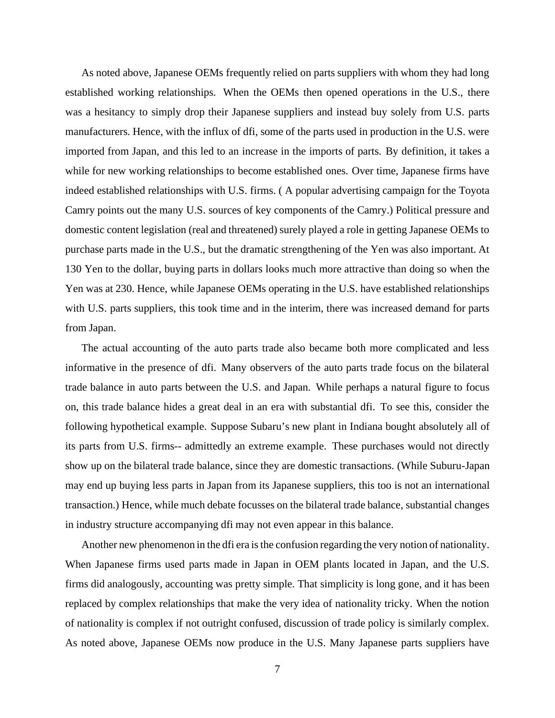As noted above, Japanese OEMs frequently relied on parts suppliers with whom they had long established working relationships. When the OEMs then opened operations in the U.S., there was a hesitancy to simply drop their Japanese suppliers and instead buy solely from U.S. parts manufacturers. Hence, with the influx of dfi, some of the parts used in production in the U.S. were imported from Japan, and this led to an increase in the imports of parts. By definition, it takes a while for new working relationships to become established ones. Over time, Japanese firms have indeed established relationships with U.S. firms. ( A popular advertising campaign for the Toyota Camry points out the many U.S. sources of key components of the Camry.) Political pressure and domestic content legislation (real and threatened) surely played a role in getting Japanese OEMs to purchase parts made in the U.S., but the dramatic strengthening of the Yen was also important. At 130 Yen to the dollar, buying parts in dollars looks much more attractive than doing so when the Yen was at 230. Hence, while Japanese OEMs operating in the U.S. have established relationships with U.S. parts suppliers, this took time and in the interim, there was increased demand for parts from Japan.

The actual accounting of the auto parts trade also became both more complicated and less informative in the presence of dfi. Many observers of the auto parts trade focus on the bilateral trade balance in auto parts between the U.S. and Japan. While perhaps a natural figure to focus on, this trade balance hides a great deal in an era with substantial dfi. To see this, consider the following hypothetical example. Suppose Subaru's new plant in Indiana bought absolutely all of its parts from U.S. firms-- admittedly an extreme example. These purchases would not directly show up on the bilateral trade balance, since they are domestic transactions. (While Suburu-Japan may end up buying less parts in Japan from its Japanese suppliers, this too is not an international transaction.) Hence, while much debate focusses on the bilateral trade balance, substantial changes in industry structure accompanying dfi may not even appear in this balance.

Another new phenomenon in the dfi era is the confusion regarding the very notion of nationality. When Japanese firms used parts made in Japan in OEM plants located in Japan, and the U.S. firms did analogously, accounting was pretty simple. That simplicity is long gone, and it has been replaced by complex relationships that make the very idea of nationality tricky. When the notion of nationality is complex if not outright confused, discussion of trade policy is similarly complex. As noted above, Japanese OEMs now produce in the U.S. Many Japanese parts suppliers have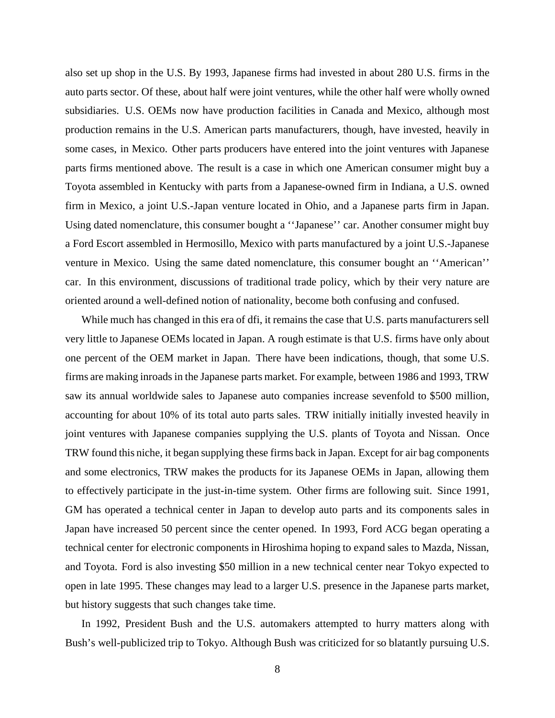also set up shop in the U.S. By 1993, Japanese firms had invested in about 280 U.S. firms in the auto parts sector. Of these, about half were joint ventures, while the other half were wholly owned subsidiaries. U.S. OEMs now have production facilities in Canada and Mexico, although most production remains in the U.S. American parts manufacturers, though, have invested, heavily in some cases, in Mexico. Other parts producers have entered into the joint ventures with Japanese parts firms mentioned above. The result is a case in which one American consumer might buy a Toyota assembled in Kentucky with parts from a Japanese-owned firm in Indiana, a U.S. owned firm in Mexico, a joint U.S.-Japan venture located in Ohio, and a Japanese parts firm in Japan. Using dated nomenclature, this consumer bought a ''Japanese'' car. Another consumer might buy a Ford Escort assembled in Hermosillo, Mexico with parts manufactured by a joint U.S.-Japanese venture in Mexico. Using the same dated nomenclature, this consumer bought an ''American'' car. In this environment, discussions of traditional trade policy, which by their very nature are oriented around a well-defined notion of nationality, become both confusing and confused.

While much has changed in this era of dfi, it remains the case that U.S. parts manufacturers sell very little to Japanese OEMs located in Japan. A rough estimate is that U.S. firms have only about one percent of the OEM market in Japan. There have been indications, though, that some U.S. firms are making inroads in the Japanese parts market. For example, between 1986 and 1993, TRW saw its annual worldwide sales to Japanese auto companies increase sevenfold to \$500 million, accounting for about 10% of its total auto parts sales. TRW initially initially invested heavily in joint ventures with Japanese companies supplying the U.S. plants of Toyota and Nissan. Once TRW found this niche, it began supplying these firms back in Japan. Except for air bag components and some electronics, TRW makes the products for its Japanese OEMs in Japan, allowing them to effectively participate in the just-in-time system. Other firms are following suit. Since 1991, GM has operated a technical center in Japan to develop auto parts and its components sales in Japan have increased 50 percent since the center opened. In 1993, Ford ACG began operating a technical center for electronic components in Hiroshima hoping to expand sales to Mazda, Nissan, and Toyota. Ford is also investing \$50 million in a new technical center near Tokyo expected to open in late 1995. These changes may lead to a larger U.S. presence in the Japanese parts market, but history suggests that such changes take time.

In 1992, President Bush and the U.S. automakers attempted to hurry matters along with Bush's well-publicized trip to Tokyo. Although Bush was criticized for so blatantly pursuing U.S.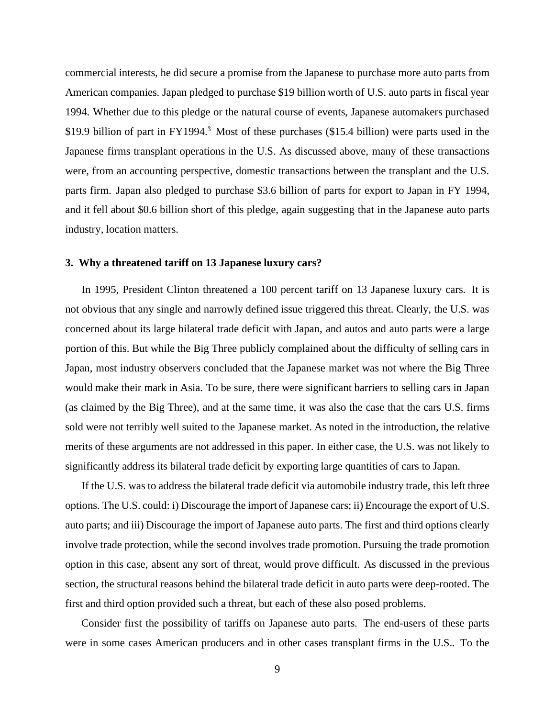commercial interests, he did secure a promise from the Japanese to purchase more auto parts from American companies. Japan pledged to purchase \$19 billion worth of U.S. auto parts in fiscal year 1994. Whether due to this pledge or the natural course of events, Japanese automakers purchased \$19.9 billion of part in FY1994.<sup>3</sup> Most of these purchases (\$15.4 billion) were parts used in the Japanese firms transplant operations in the U.S. As discussed above, many of these transactions were, from an accounting perspective, domestic transactions between the transplant and the U.S. parts firm. Japan also pledged to purchase \$3.6 billion of parts for export to Japan in FY 1994, and it fell about \$0.6 billion short of this pledge, again suggesting that in the Japanese auto parts industry, location matters.

#### **3. Why a threatened tariff on 13 Japanese luxury cars?**

In 1995, President Clinton threatened a 100 percent tariff on 13 Japanese luxury cars. It is not obvious that any single and narrowly defined issue triggered this threat. Clearly, the U.S. was concerned about its large bilateral trade deficit with Japan, and autos and auto parts were a large portion of this. But while the Big Three publicly complained about the difficulty of selling cars in Japan, most industry observers concluded that the Japanese market was not where the Big Three would make their mark in Asia. To be sure, there were significant barriers to selling cars in Japan (as claimed by the Big Three), and at the same time, it was also the case that the cars U.S. firms sold were not terribly well suited to the Japanese market. As noted in the introduction, the relative merits of these arguments are not addressed in this paper. In either case, the U.S. was not likely to significantly address its bilateral trade deficit by exporting large quantities of cars to Japan.

If the U.S. was to address the bilateral trade deficit via automobile industry trade, this left three options. The U.S. could: i) Discourage the import of Japanese cars; ii) Encourage the export of U.S. auto parts; and iii) Discourage the import of Japanese auto parts. The first and third options clearly involve trade protection, while the second involves trade promotion. Pursuing the trade promotion option in this case, absent any sort of threat, would prove difficult. As discussed in the previous section, the structural reasons behind the bilateral trade deficit in auto parts were deep-rooted. The first and third option provided such a threat, but each of these also posed problems.

Consider first the possibility of tariffs on Japanese auto parts. The end-users of these parts were in some cases American producers and in other cases transplant firms in the U.S.. To the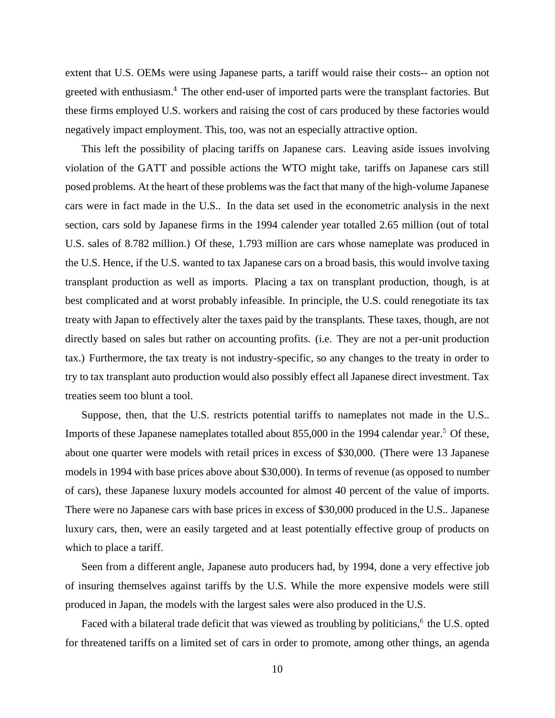extent that U.S. OEMs were using Japanese parts, a tariff would raise their costs-- an option not greeted with enthusiasm.<sup>4</sup> The other end-user of imported parts were the transplant factories. But these firms employed U.S. workers and raising the cost of cars produced by these factories would negatively impact employment. This, too, was not an especially attractive option.

This left the possibility of placing tariffs on Japanese cars. Leaving aside issues involving violation of the GATT and possible actions the WTO might take, tariffs on Japanese cars still posed problems. At the heart of these problems was the fact that many of the high-volume Japanese cars were in fact made in the U.S.. In the data set used in the econometric analysis in the next section, cars sold by Japanese firms in the 1994 calender year totalled 2.65 million (out of total U.S. sales of 8.782 million.) Of these, 1.793 million are cars whose nameplate was produced in the U.S. Hence, if the U.S. wanted to tax Japanese cars on a broad basis, this would involve taxing transplant production as well as imports. Placing a tax on transplant production, though, is at best complicated and at worst probably infeasible. In principle, the U.S. could renegotiate its tax treaty with Japan to effectively alter the taxes paid by the transplants. These taxes, though, are not directly based on sales but rather on accounting profits. (i.e. They are not a per-unit production tax.) Furthermore, the tax treaty is not industry-specific, so any changes to the treaty in order to try to tax transplant auto production would also possibly effect all Japanese direct investment. Tax treaties seem too blunt a tool.

Suppose, then, that the U.S. restricts potential tariffs to nameplates not made in the U.S.. Imports of these Japanese nameplates totalled about  $855{,}000$  in the 1994 calendar year.<sup>5</sup> Of these, about one quarter were models with retail prices in excess of \$30,000. (There were 13 Japanese models in 1994 with base prices above about \$30,000). In terms of revenue (as opposed to number of cars), these Japanese luxury models accounted for almost 40 percent of the value of imports. There were no Japanese cars with base prices in excess of \$30,000 produced in the U.S.. Japanese luxury cars, then, were an easily targeted and at least potentially effective group of products on which to place a tariff.

Seen from a different angle, Japanese auto producers had, by 1994, done a very effective job of insuring themselves against tariffs by the U.S. While the more expensive models were still produced in Japan, the models with the largest sales were also produced in the U.S.

Faced with a bilateral trade deficit that was viewed as troubling by politicians,  $6$  the U.S. opted for threatened tariffs on a limited set of cars in order to promote, among other things, an agenda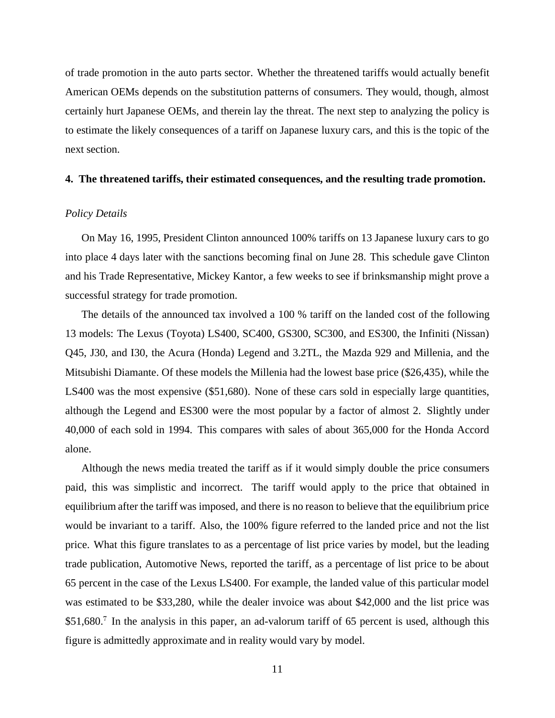of trade promotion in the auto parts sector. Whether the threatened tariffs would actually benefit American OEMs depends on the substitution patterns of consumers. They would, though, almost certainly hurt Japanese OEMs, and therein lay the threat. The next step to analyzing the policy is to estimate the likely consequences of a tariff on Japanese luxury cars, and this is the topic of the next section.

#### **4. The threatened tariffs, their estimated consequences, and the resulting trade promotion.**

#### *Policy Details*

On May 16, 1995, President Clinton announced 100% tariffs on 13 Japanese luxury cars to go into place 4 days later with the sanctions becoming final on June 28. This schedule gave Clinton and his Trade Representative, Mickey Kantor, a few weeks to see if brinksmanship might prove a successful strategy for trade promotion.

The details of the announced tax involved a 100 % tariff on the landed cost of the following 13 models: The Lexus (Toyota) LS400, SC400, GS300, SC300, and ES300, the Infiniti (Nissan) Q45, J30, and I30, the Acura (Honda) Legend and 3.2TL, the Mazda 929 and Millenia, and the Mitsubishi Diamante. Of these models the Millenia had the lowest base price (\$26,435), while the LS400 was the most expensive (\$51,680). None of these cars sold in especially large quantities, although the Legend and ES300 were the most popular by a factor of almost 2. Slightly under 40,000 of each sold in 1994. This compares with sales of about 365,000 for the Honda Accord alone.

Although the news media treated the tariff as if it would simply double the price consumers paid, this was simplistic and incorrect. The tariff would apply to the price that obtained in equilibrium after the tariff was imposed, and there is no reason to believe that the equilibrium price would be invariant to a tariff. Also, the 100% figure referred to the landed price and not the list price. What this figure translates to as a percentage of list price varies by model, but the leading trade publication, Automotive News, reported the tariff, as a percentage of list price to be about 65 percent in the case of the Lexus LS400. For example, the landed value of this particular model was estimated to be \$33,280, while the dealer invoice was about \$42,000 and the list price was \$51,680.<sup>7</sup> In the analysis in this paper, an ad-valorum tariff of 65 percent is used, although this figure is admittedly approximate and in reality would vary by model.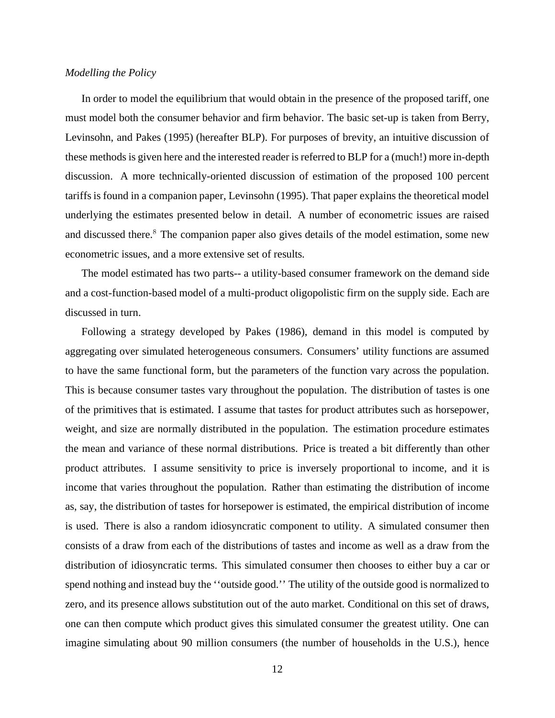#### *Modelling the Policy*

In order to model the equilibrium that would obtain in the presence of the proposed tariff, one must model both the consumer behavior and firm behavior. The basic set-up is taken from Berry, Levinsohn, and Pakes (1995) (hereafter BLP). For purposes of brevity, an intuitive discussion of these methods is given here and the interested reader is referred to BLP for a (much!) more in-depth discussion. A more technically-oriented discussion of estimation of the proposed 100 percent tariffs is found in a companion paper, Levinsohn (1995). That paper explains the theoretical model underlying the estimates presented below in detail. A number of econometric issues are raised and discussed there.<sup>8</sup> The companion paper also gives details of the model estimation, some new econometric issues, and a more extensive set of results.

The model estimated has two parts-- a utility-based consumer framework on the demand side and a cost-function-based model of a multi-product oligopolistic firm on the supply side. Each are discussed in turn.

Following a strategy developed by Pakes (1986), demand in this model is computed by aggregating over simulated heterogeneous consumers. Consumers' utility functions are assumed to have the same functional form, but the parameters of the function vary across the population. This is because consumer tastes vary throughout the population. The distribution of tastes is one of the primitives that is estimated. I assume that tastes for product attributes such as horsepower, weight, and size are normally distributed in the population. The estimation procedure estimates the mean and variance of these normal distributions. Price is treated a bit differently than other product attributes. I assume sensitivity to price is inversely proportional to income, and it is income that varies throughout the population. Rather than estimating the distribution of income as, say, the distribution of tastes for horsepower is estimated, the empirical distribution of income is used. There is also a random idiosyncratic component to utility. A simulated consumer then consists of a draw from each of the distributions of tastes and income as well as a draw from the distribution of idiosyncratic terms. This simulated consumer then chooses to either buy a car or spend nothing and instead buy the ''outside good.'' The utility of the outside good is normalized to zero, and its presence allows substitution out of the auto market. Conditional on this set of draws, one can then compute which product gives this simulated consumer the greatest utility. One can imagine simulating about 90 million consumers (the number of households in the U.S.), hence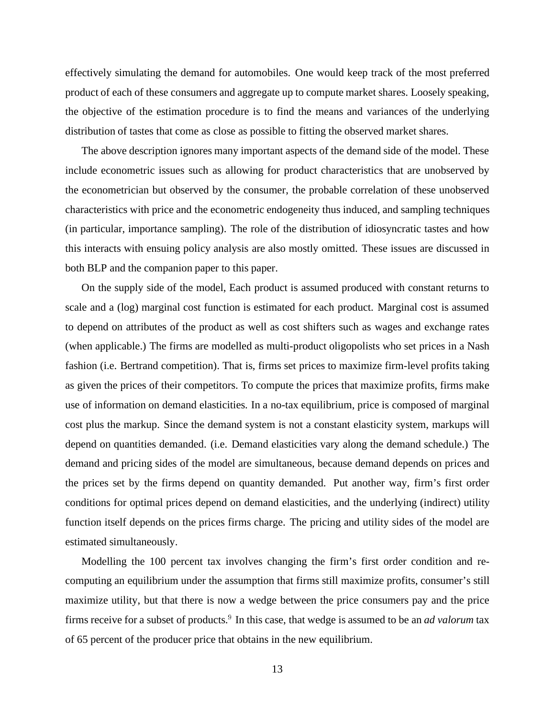effectively simulating the demand for automobiles. One would keep track of the most preferred product of each of these consumers and aggregate up to compute market shares. Loosely speaking, the objective of the estimation procedure is to find the means and variances of the underlying distribution of tastes that come as close as possible to fitting the observed market shares.

The above description ignores many important aspects of the demand side of the model. These include econometric issues such as allowing for product characteristics that are unobserved by the econometrician but observed by the consumer, the probable correlation of these unobserved characteristics with price and the econometric endogeneity thus induced, and sampling techniques (in particular, importance sampling). The role of the distribution of idiosyncratic tastes and how this interacts with ensuing policy analysis are also mostly omitted. These issues are discussed in both BLP and the companion paper to this paper.

On the supply side of the model, Each product is assumed produced with constant returns to scale and a (log) marginal cost function is estimated for each product. Marginal cost is assumed to depend on attributes of the product as well as cost shifters such as wages and exchange rates (when applicable.) The firms are modelled as multi-product oligopolists who set prices in a Nash fashion (i.e. Bertrand competition). That is, firms set prices to maximize firm-level profits taking as given the prices of their competitors. To compute the prices that maximize profits, firms make use of information on demand elasticities. In a no-tax equilibrium, price is composed of marginal cost plus the markup. Since the demand system is not a constant elasticity system, markups will depend on quantities demanded. (i.e. Demand elasticities vary along the demand schedule.) The demand and pricing sides of the model are simultaneous, because demand depends on prices and the prices set by the firms depend on quantity demanded. Put another way, firm's first order conditions for optimal prices depend on demand elasticities, and the underlying (indirect) utility function itself depends on the prices firms charge. The pricing and utility sides of the model are estimated simultaneously.

Modelling the 100 percent tax involves changing the firm's first order condition and recomputing an equilibrium under the assumption that firms still maximize profits, consumer's still maximize utility, but that there is now a wedge between the price consumers pay and the price firms receive for a subset of products.<sup>9</sup> In this case, that wedge is assumed to be an *ad valorum* tax of 65 percent of the producer price that obtains in the new equilibrium.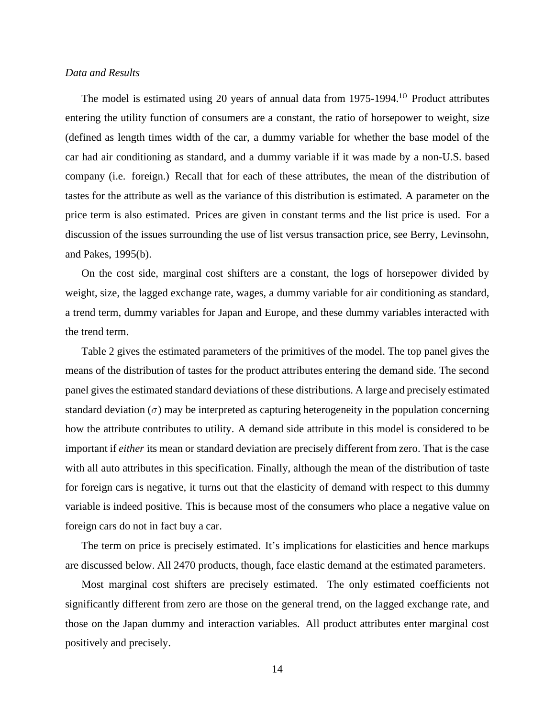#### *Data and Results*

The model is estimated using 20 years of annual data from 1975-1994.<sup>10</sup> Product attributes entering the utility function of consumers are a constant, the ratio of horsepower to weight, size (defined as length times width of the car, a dummy variable for whether the base model of the car had air conditioning as standard, and a dummy variable if it was made by a non-U.S. based company (i.e. foreign.) Recall that for each of these attributes, the mean of the distribution of tastes for the attribute as well as the variance of this distribution is estimated. A parameter on the price term is also estimated. Prices are given in constant terms and the list price is used. For a discussion of the issues surrounding the use of list versus transaction price, see Berry, Levinsohn, and Pakes, 1995(b).

On the cost side, marginal cost shifters are a constant, the logs of horsepower divided by weight, size, the lagged exchange rate, wages, a dummy variable for air conditioning as standard, a trend term, dummy variables for Japan and Europe, and these dummy variables interacted with the trend term.

Table 2 gives the estimated parameters of the primitives of the model. The top panel gives the means of the distribution of tastes for the product attributes entering the demand side. The second panel gives the estimated standard deviations of these distributions. A large and precisely estimated standard deviation  $(\sigma)$  may be interpreted as capturing heterogeneity in the population concerning how the attribute contributes to utility. A demand side attribute in this model is considered to be important if *either* its mean or standard deviation are precisely different from zero. That is the case with all auto attributes in this specification. Finally, although the mean of the distribution of taste for foreign cars is negative, it turns out that the elasticity of demand with respect to this dummy variable is indeed positive. This is because most of the consumers who place a negative value on foreign cars do not in fact buy a car.

The term on price is precisely estimated. It's implications for elasticities and hence markups are discussed below. All 2470 products, though, face elastic demand at the estimated parameters.

Most marginal cost shifters are precisely estimated. The only estimated coefficients not significantly different from zero are those on the general trend, on the lagged exchange rate, and those on the Japan dummy and interaction variables. All product attributes enter marginal cost positively and precisely.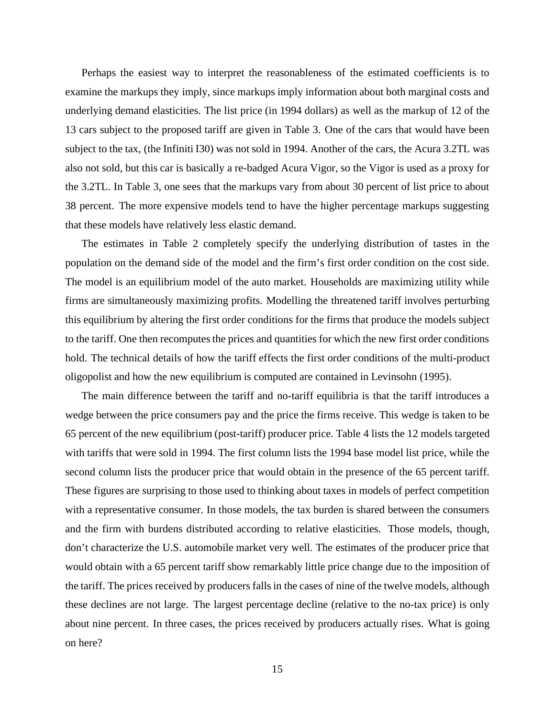Perhaps the easiest way to interpret the reasonableness of the estimated coefficients is to examine the markups they imply, since markups imply information about both marginal costs and underlying demand elasticities. The list price (in 1994 dollars) as well as the markup of 12 of the 13 cars subject to the proposed tariff are given in Table 3. One of the cars that would have been subject to the tax, (the Infiniti I30) was not sold in 1994. Another of the cars, the Acura 3.2TL was also not sold, but this car is basically a re-badged Acura Vigor, so the Vigor is used as a proxy for the 3.2TL. In Table 3, one sees that the markups vary from about 30 percent of list price to about 38 percent. The more expensive models tend to have the higher percentage markups suggesting that these models have relatively less elastic demand.

The estimates in Table 2 completely specify the underlying distribution of tastes in the population on the demand side of the model and the firm's first order condition on the cost side. The model is an equilibrium model of the auto market. Households are maximizing utility while firms are simultaneously maximizing profits. Modelling the threatened tariff involves perturbing this equilibrium by altering the first order conditions for the firms that produce the models subject to the tariff. One then recomputes the prices and quantities for which the new first order conditions hold. The technical details of how the tariff effects the first order conditions of the multi-product oligopolist and how the new equilibrium is computed are contained in Levinsohn (1995).

The main difference between the tariff and no-tariff equilibria is that the tariff introduces a wedge between the price consumers pay and the price the firms receive. This wedge is taken to be 65 percent of the new equilibrium (post-tariff) producer price. Table 4 lists the 12 models targeted with tariffs that were sold in 1994. The first column lists the 1994 base model list price, while the second column lists the producer price that would obtain in the presence of the 65 percent tariff. These figures are surprising to those used to thinking about taxes in models of perfect competition with a representative consumer. In those models, the tax burden is shared between the consumers and the firm with burdens distributed according to relative elasticities. Those models, though, don't characterize the U.S. automobile market very well. The estimates of the producer price that would obtain with a 65 percent tariff show remarkably little price change due to the imposition of the tariff. The prices received by producers falls in the cases of nine of the twelve models, although these declines are not large. The largest percentage decline (relative to the no-tax price) is only about nine percent. In three cases, the prices received by producers actually rises. What is going on here?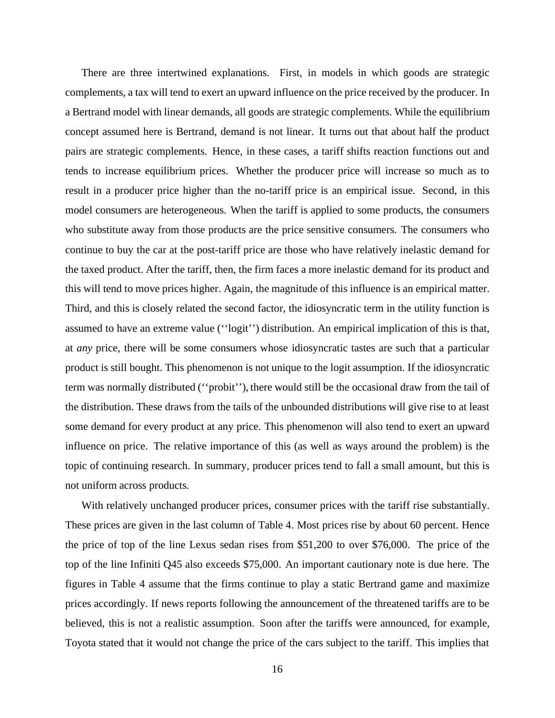There are three intertwined explanations. First, in models in which goods are strategic complements, a tax will tend to exert an upward influence on the price received by the producer. In a Bertrand model with linear demands, all goods are strategic complements. While the equilibrium concept assumed here is Bertrand, demand is not linear. It turns out that about half the product pairs are strategic complements. Hence, in these cases, a tariff shifts reaction functions out and tends to increase equilibrium prices. Whether the producer price will increase so much as to result in a producer price higher than the no-tariff price is an empirical issue. Second, in this model consumers are heterogeneous. When the tariff is applied to some products, the consumers who substitute away from those products are the price sensitive consumers. The consumers who continue to buy the car at the post-tariff price are those who have relatively inelastic demand for the taxed product. After the tariff, then, the firm faces a more inelastic demand for its product and this will tend to move prices higher. Again, the magnitude of this influence is an empirical matter. Third, and this is closely related the second factor, the idiosyncratic term in the utility function is assumed to have an extreme value (''logit'') distribution. An empirical implication of this is that, at *any* price, there will be some consumers whose idiosyncratic tastes are such that a particular product is still bought. This phenomenon is not unique to the logit assumption. If the idiosyncratic term was normally distributed (''probit''), there would still be the occasional draw from the tail of the distribution. These draws from the tails of the unbounded distributions will give rise to at least some demand for every product at any price. This phenomenon will also tend to exert an upward influence on price. The relative importance of this (as well as ways around the problem) is the topic of continuing research. In summary, producer prices tend to fall a small amount, but this is not uniform across products.

With relatively unchanged producer prices, consumer prices with the tariff rise substantially. These prices are given in the last column of Table 4. Most prices rise by about 60 percent. Hence the price of top of the line Lexus sedan rises from \$51,200 to over \$76,000. The price of the top of the line Infiniti Q45 also exceeds \$75,000. An important cautionary note is due here. The figures in Table 4 assume that the firms continue to play a static Bertrand game and maximize prices accordingly. If news reports following the announcement of the threatened tariffs are to be believed, this is not a realistic assumption. Soon after the tariffs were announced, for example, Toyota stated that it would not change the price of the cars subject to the tariff. This implies that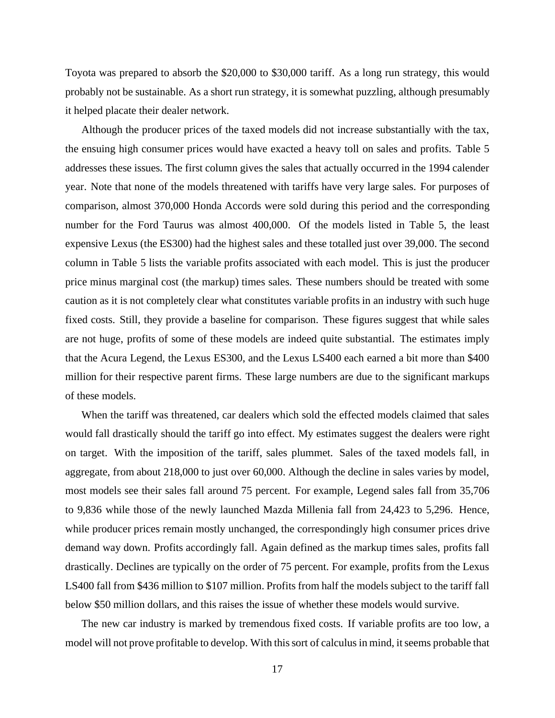Toyota was prepared to absorb the \$20,000 to \$30,000 tariff. As a long run strategy, this would probably not be sustainable. As a short run strategy, it is somewhat puzzling, although presumably it helped placate their dealer network.

Although the producer prices of the taxed models did not increase substantially with the tax, the ensuing high consumer prices would have exacted a heavy toll on sales and profits. Table 5 addresses these issues. The first column gives the sales that actually occurred in the 1994 calender year. Note that none of the models threatened with tariffs have very large sales. For purposes of comparison, almost 370,000 Honda Accords were sold during this period and the corresponding number for the Ford Taurus was almost 400,000. Of the models listed in Table 5, the least expensive Lexus (the ES300) had the highest sales and these totalled just over 39,000. The second column in Table 5 lists the variable profits associated with each model. This is just the producer price minus marginal cost (the markup) times sales. These numbers should be treated with some caution as it is not completely clear what constitutes variable profits in an industry with such huge fixed costs. Still, they provide a baseline for comparison. These figures suggest that while sales are not huge, profits of some of these models are indeed quite substantial. The estimates imply that the Acura Legend, the Lexus ES300, and the Lexus LS400 each earned a bit more than \$400 million for their respective parent firms. These large numbers are due to the significant markups of these models.

When the tariff was threatened, car dealers which sold the effected models claimed that sales would fall drastically should the tariff go into effect. My estimates suggest the dealers were right on target. With the imposition of the tariff, sales plummet. Sales of the taxed models fall, in aggregate, from about 218,000 to just over 60,000. Although the decline in sales varies by model, most models see their sales fall around 75 percent. For example, Legend sales fall from 35,706 to 9,836 while those of the newly launched Mazda Millenia fall from 24,423 to 5,296. Hence, while producer prices remain mostly unchanged, the correspondingly high consumer prices drive demand way down. Profits accordingly fall. Again defined as the markup times sales, profits fall drastically. Declines are typically on the order of 75 percent. For example, profits from the Lexus LS400 fall from \$436 million to \$107 million. Profits from half the models subject to the tariff fall below \$50 million dollars, and this raises the issue of whether these models would survive.

The new car industry is marked by tremendous fixed costs. If variable profits are too low, a model will not prove profitable to develop. With this sort of calculus in mind, it seems probable that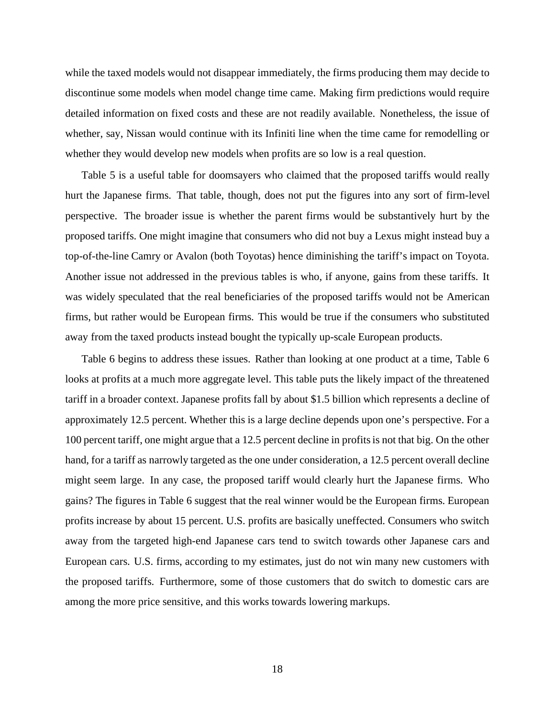while the taxed models would not disappear immediately, the firms producing them may decide to discontinue some models when model change time came. Making firm predictions would require detailed information on fixed costs and these are not readily available. Nonetheless, the issue of whether, say, Nissan would continue with its Infiniti line when the time came for remodelling or whether they would develop new models when profits are so low is a real question.

Table 5 is a useful table for doomsayers who claimed that the proposed tariffs would really hurt the Japanese firms. That table, though, does not put the figures into any sort of firm-level perspective. The broader issue is whether the parent firms would be substantively hurt by the proposed tariffs. One might imagine that consumers who did not buy a Lexus might instead buy a top-of-the-line Camry or Avalon (both Toyotas) hence diminishing the tariff's impact on Toyota. Another issue not addressed in the previous tables is who, if anyone, gains from these tariffs. It was widely speculated that the real beneficiaries of the proposed tariffs would not be American firms, but rather would be European firms. This would be true if the consumers who substituted away from the taxed products instead bought the typically up-scale European products.

Table 6 begins to address these issues. Rather than looking at one product at a time, Table 6 looks at profits at a much more aggregate level. This table puts the likely impact of the threatened tariff in a broader context. Japanese profits fall by about \$1.5 billion which represents a decline of approximately 12.5 percent. Whether this is a large decline depends upon one's perspective. For a 100 percent tariff, one might argue that a 12.5 percent decline in profits is not that big. On the other hand, for a tariff as narrowly targeted as the one under consideration, a 12.5 percent overall decline might seem large. In any case, the proposed tariff would clearly hurt the Japanese firms. Who gains? The figures in Table 6 suggest that the real winner would be the European firms. European profits increase by about 15 percent. U.S. profits are basically uneffected. Consumers who switch away from the targeted high-end Japanese cars tend to switch towards other Japanese cars and European cars. U.S. firms, according to my estimates, just do not win many new customers with the proposed tariffs. Furthermore, some of those customers that do switch to domestic cars are among the more price sensitive, and this works towards lowering markups.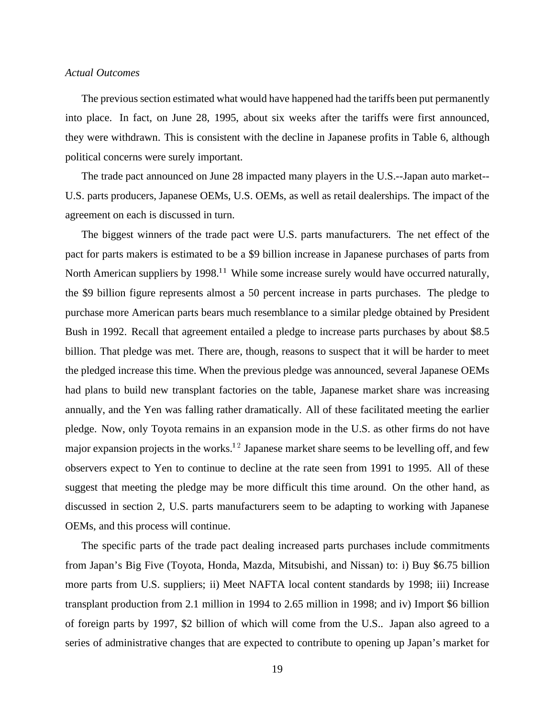#### *Actual Outcomes*

The previous section estimated what would have happened had the tariffs been put permanently into place. In fact, on June 28, 1995, about six weeks after the tariffs were first announced, they were withdrawn. This is consistent with the decline in Japanese profits in Table 6, although political concerns were surely important.

The trade pact announced on June 28 impacted many players in the U.S.--Japan auto market-- U.S. parts producers, Japanese OEMs, U.S. OEMs, as well as retail dealerships. The impact of the agreement on each is discussed in turn.

The biggest winners of the trade pact were U.S. parts manufacturers. The net effect of the pact for parts makers is estimated to be a \$9 billion increase in Japanese purchases of parts from North American suppliers by 1998.<sup>11</sup> While some increase surely would have occurred naturally, the \$9 billion figure represents almost a 50 percent increase in parts purchases. The pledge to purchase more American parts bears much resemblance to a similar pledge obtained by President Bush in 1992. Recall that agreement entailed a pledge to increase parts purchases by about \$8.5 billion. That pledge was met. There are, though, reasons to suspect that it will be harder to meet the pledged increase this time. When the previous pledge was announced, several Japanese OEMs had plans to build new transplant factories on the table, Japanese market share was increasing annually, and the Yen was falling rather dramatically. All of these facilitated meeting the earlier pledge. Now, only Toyota remains in an expansion mode in the U.S. as other firms do not have major expansion projects in the works.<sup>12</sup> Japanese market share seems to be levelling off, and few observers expect to Yen to continue to decline at the rate seen from 1991 to 1995. All of these suggest that meeting the pledge may be more difficult this time around. On the other hand, as discussed in section 2, U.S. parts manufacturers seem to be adapting to working with Japanese OEMs, and this process will continue.

The specific parts of the trade pact dealing increased parts purchases include commitments from Japan's Big Five (Toyota, Honda, Mazda, Mitsubishi, and Nissan) to: i) Buy \$6.75 billion more parts from U.S. suppliers; ii) Meet NAFTA local content standards by 1998; iii) Increase transplant production from 2.1 million in 1994 to 2.65 million in 1998; and iv) Import \$6 billion of foreign parts by 1997, \$2 billion of which will come from the U.S.. Japan also agreed to a series of administrative changes that are expected to contribute to opening up Japan's market for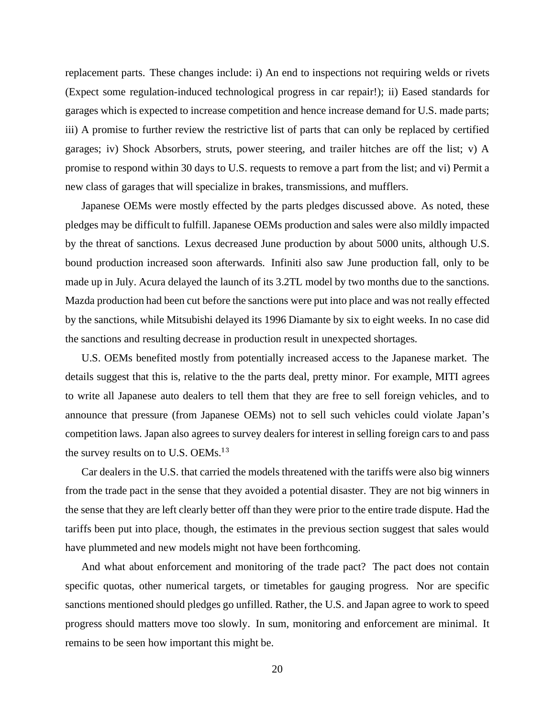replacement parts. These changes include: i) An end to inspections not requiring welds or rivets (Expect some regulation-induced technological progress in car repair!); ii) Eased standards for garages which is expected to increase competition and hence increase demand for U.S. made parts; iii) A promise to further review the restrictive list of parts that can only be replaced by certified garages; iv) Shock Absorbers, struts, power steering, and trailer hitches are off the list; v) A promise to respond within 30 days to U.S. requests to remove a part from the list; and vi) Permit a new class of garages that will specialize in brakes, transmissions, and mufflers.

Japanese OEMs were mostly effected by the parts pledges discussed above. As noted, these pledges may be difficult to fulfill. Japanese OEMs production and sales were also mildly impacted by the threat of sanctions. Lexus decreased June production by about 5000 units, although U.S. bound production increased soon afterwards. Infiniti also saw June production fall, only to be made up in July. Acura delayed the launch of its 3.2TL model by two months due to the sanctions. Mazda production had been cut before the sanctions were put into place and was not really effected by the sanctions, while Mitsubishi delayed its 1996 Diamante by six to eight weeks. In no case did the sanctions and resulting decrease in production result in unexpected shortages.

U.S. OEMs benefited mostly from potentially increased access to the Japanese market. The details suggest that this is, relative to the the parts deal, pretty minor. For example, MITI agrees to write all Japanese auto dealers to tell them that they are free to sell foreign vehicles, and to announce that pressure (from Japanese OEMs) not to sell such vehicles could violate Japan's competition laws. Japan also agrees to survey dealers for interest in selling foreign cars to and pass the survey results on to U.S.  $OEMs.<sup>13</sup>$ 

Car dealers in the U.S. that carried the models threatened with the tariffs were also big winners from the trade pact in the sense that they avoided a potential disaster. They are not big winners in the sense that they are left clearly better off than they were prior to the entire trade dispute. Had the tariffs been put into place, though, the estimates in the previous section suggest that sales would have plummeted and new models might not have been forthcoming.

And what about enforcement and monitoring of the trade pact? The pact does not contain specific quotas, other numerical targets, or timetables for gauging progress. Nor are specific sanctions mentioned should pledges go unfilled. Rather, the U.S. and Japan agree to work to speed progress should matters move too slowly. In sum, monitoring and enforcement are minimal. It remains to be seen how important this might be.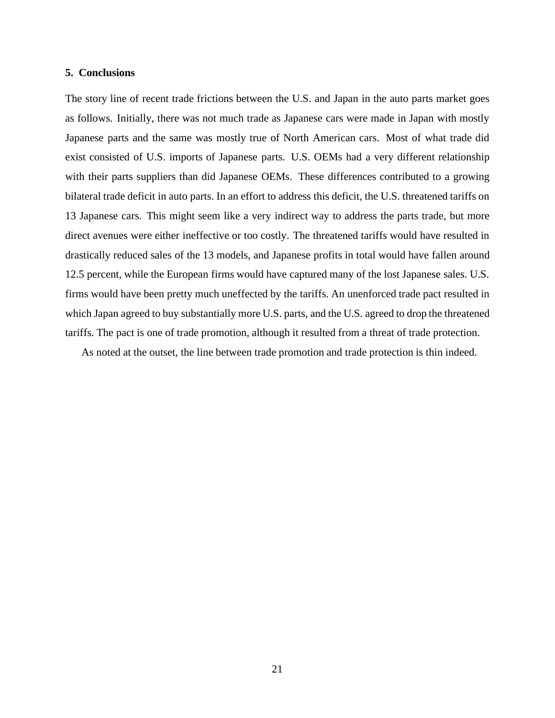#### **5. Conclusions**

The story line of recent trade frictions between the U.S. and Japan in the auto parts market goes as follows. Initially, there was not much trade as Japanese cars were made in Japan with mostly Japanese parts and the same was mostly true of North American cars. Most of what trade did exist consisted of U.S. imports of Japanese parts. U.S. OEMs had a very different relationship with their parts suppliers than did Japanese OEMs. These differences contributed to a growing bilateral trade deficit in auto parts. In an effort to address this deficit, the U.S. threatened tariffs on 13 Japanese cars. This might seem like a very indirect way to address the parts trade, but more direct avenues were either ineffective or too costly. The threatened tariffs would have resulted in drastically reduced sales of the 13 models, and Japanese profits in total would have fallen around 12.5 percent, while the European firms would have captured many of the lost Japanese sales. U.S. firms would have been pretty much uneffected by the tariffs. An unenforced trade pact resulted in which Japan agreed to buy substantially more U.S. parts, and the U.S. agreed to drop the threatened tariffs. The pact is one of trade promotion, although it resulted from a threat of trade protection.

As noted at the outset, the line between trade promotion and trade protection is thin indeed.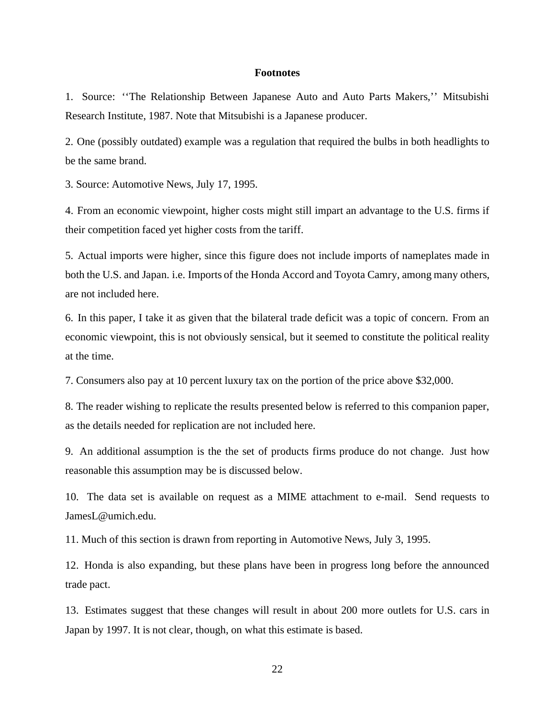#### **Footnotes**

1. Source: ''The Relationship Between Japanese Auto and Auto Parts Makers,'' Mitsubishi Research Institute, 1987. Note that Mitsubishi is a Japanese producer.

2. One (possibly outdated) example was a regulation that required the bulbs in both headlights to be the same brand.

3. Source: Automotive News, July 17, 1995.

4. From an economic viewpoint, higher costs might still impart an advantage to the U.S. firms if their competition faced yet higher costs from the tariff.

5. Actual imports were higher, since this figure does not include imports of nameplates made in both the U.S. and Japan. i.e. Imports of the Honda Accord and Toyota Camry, among many others, are not included here.

6. In this paper, I take it as given that the bilateral trade deficit was a topic of concern. From an economic viewpoint, this is not obviously sensical, but it seemed to constitute the political reality at the time.

7. Consumers also pay at 10 percent luxury tax on the portion of the price above \$32,000.

8. The reader wishing to replicate the results presented below is referred to this companion paper, as the details needed for replication are not included here.

9. An additional assumption is the the set of products firms produce do not change. Just how reasonable this assumption may be is discussed below.

10. The data set is available on request as a MIME attachment to e-mail. Send requests to JamesL@umich.edu.

11. Much of this section is drawn from reporting in Automotive News, July 3, 1995.

12. Honda is also expanding, but these plans have been in progress long before the announced trade pact.

13. Estimates suggest that these changes will result in about 200 more outlets for U.S. cars in Japan by 1997. It is not clear, though, on what this estimate is based.

22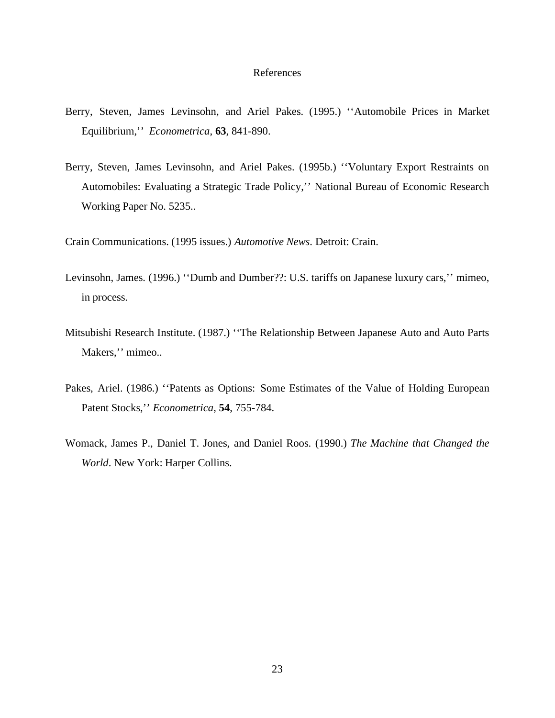#### References

- Berry, Steven, James Levinsohn, and Ariel Pakes. (1995.) ''Automobile Prices in Market Equilibrium,'' *Econometrica*, **63**, 841-890.
- Berry, Steven, James Levinsohn, and Ariel Pakes. (1995b.) ''Voluntary Export Restraints on Automobiles: Evaluating a Strategic Trade Policy,'' National Bureau of Economic Research Working Paper No. 5235..

Crain Communications. (1995 issues.) *Automotive News*. Detroit: Crain.

- Levinsohn, James. (1996.) ''Dumb and Dumber??: U.S. tariffs on Japanese luxury cars,'' mimeo, in process.
- Mitsubishi Research Institute. (1987.) ''The Relationship Between Japanese Auto and Auto Parts Makers,'' mimeo..
- Pakes, Ariel. (1986.) ''Patents as Options: Some Estimates of the Value of Holding European Patent Stocks,'' *Econometrica*, **54**, 755-784.
- Womack, James P., Daniel T. Jones, and Daniel Roos. (1990.) *The Machine that Changed the World*. New York: Harper Collins.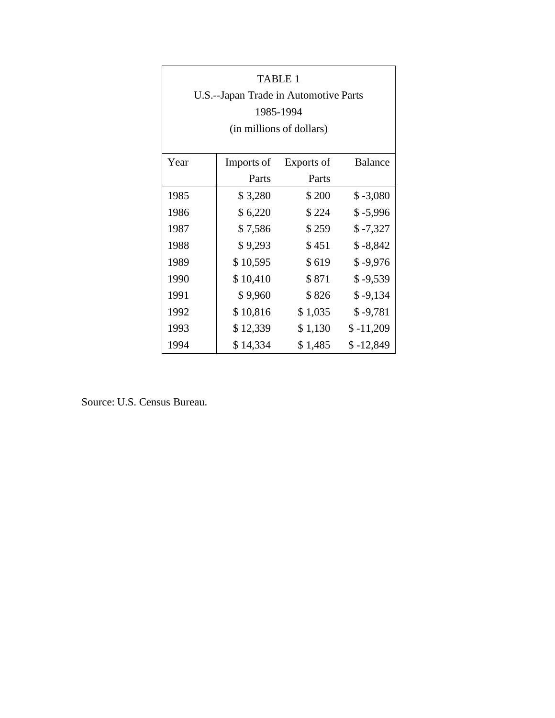| <b>TABLE 1</b><br>U.S.--Japan Trade in Automotive Parts<br>1985-1994<br>(in millions of dollars) |            |            |                |  |
|--------------------------------------------------------------------------------------------------|------------|------------|----------------|--|
| Year                                                                                             | Imports of | Exports of | <b>Balance</b> |  |
|                                                                                                  | Parts      | Parts      |                |  |
| 1985                                                                                             | \$3,280    | \$200      | $$ -3,080$     |  |
| 1986                                                                                             | \$6,220    | \$224      | $$ -5,996$     |  |
| 1987                                                                                             | \$7,586    | \$259      | $$ -7,327$     |  |
| 1988                                                                                             | \$9,293    | \$451      | $$ -8,842$     |  |
| 1989                                                                                             | \$10,595   | \$619      | $$ -9,976$     |  |
| 1990                                                                                             | \$10,410   | \$871      | $$ -9,539$     |  |
| 1991                                                                                             | \$9,960    | \$826      | $$ -9,134$     |  |
| 1992                                                                                             | \$10,816   | \$1,035    | $$ -9,781$     |  |
| 1993                                                                                             | \$12,339   | \$1,130    | $$ -11,209$    |  |
| 1994                                                                                             | \$14,334   | \$1,485    | $$ -12,849$    |  |

Source: U.S. Census Bureau.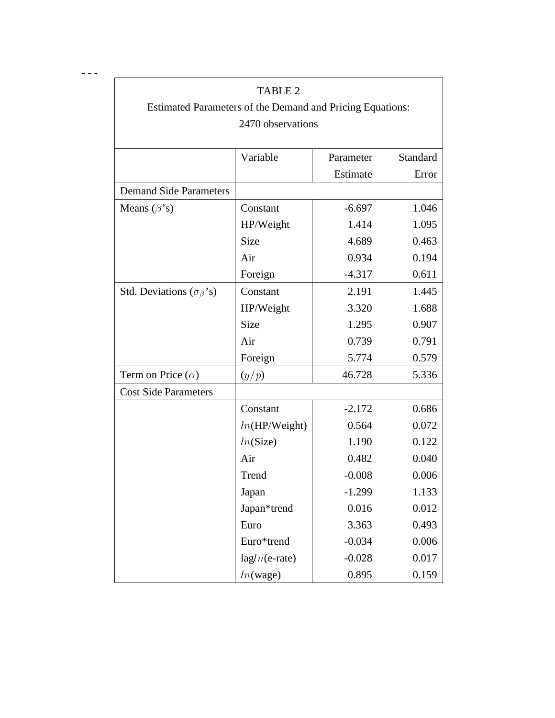| <b>TABLE 2</b><br>Estimated Parameters of the Demand and Pricing Equations: |                                       |          |       |  |  |
|-----------------------------------------------------------------------------|---------------------------------------|----------|-------|--|--|
| 2470 observations                                                           |                                       |          |       |  |  |
|                                                                             | Variable<br>Standard<br>Parameter     |          |       |  |  |
|                                                                             |                                       | Estimate | Error |  |  |
| <b>Demand Side Parameters</b>                                               |                                       |          |       |  |  |
| Means $(\beta's)$                                                           | Constant                              | $-6.697$ | 1.046 |  |  |
|                                                                             | HP/Weight                             | 1.414    | 1.095 |  |  |
|                                                                             | <b>Size</b>                           | 4.689    | 0.463 |  |  |
|                                                                             | Air                                   | 0.934    | 0.194 |  |  |
|                                                                             | Foreign                               | $-4.317$ | 0.611 |  |  |
| Std. Deviations ( $\sigma_{\beta}$ 's)                                      | Constant                              | 2.191    | 1.445 |  |  |
|                                                                             | HP/Weight                             | 3.320    | 1.688 |  |  |
|                                                                             | <b>Size</b>                           | 1.295    | 0.907 |  |  |
|                                                                             | Air                                   | 0.739    | 0.791 |  |  |
|                                                                             | Foreign                               | 5.774    | 0.579 |  |  |
| Term on Price $(\alpha)$                                                    | (y/p)                                 | 46.728   | 5.336 |  |  |
| <b>Cost Side Parameters</b>                                                 |                                       |          |       |  |  |
|                                                                             | Constant                              | $-2.172$ | 0.686 |  |  |
|                                                                             | $ln(HP/W$ eight)                      | 0.564    | 0.072 |  |  |
|                                                                             | ln(Size)                              | 1.190    | 0.122 |  |  |
|                                                                             | Air                                   | 0.482    | 0.040 |  |  |
|                                                                             | Trend                                 | $-0.008$ | 0.006 |  |  |
|                                                                             | Japan                                 | $-1.299$ | 1.133 |  |  |
|                                                                             | Japan*trend                           | 0.016    | 0.012 |  |  |
|                                                                             | 3.363<br>Euro                         |          | 0.493 |  |  |
|                                                                             | Euro*trend                            | $-0.034$ | 0.006 |  |  |
|                                                                             | 0.017<br>$lagln(e$ -rate)<br>$-0.028$ |          |       |  |  |
|                                                                             | 0.895<br>0.159<br>ln(wage)            |          |       |  |  |

---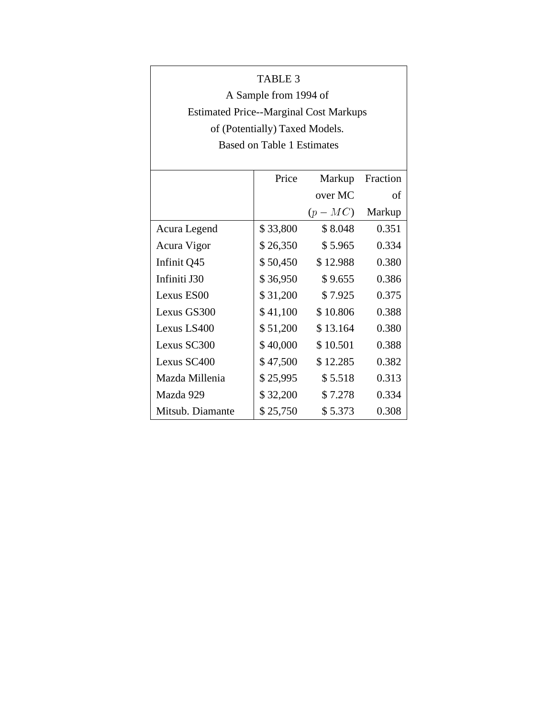| TABLE <sub>3</sub>    |                                               |          |          |  |  |
|-----------------------|-----------------------------------------------|----------|----------|--|--|
| A Sample from 1994 of |                                               |          |          |  |  |
|                       | <b>Estimated Price--Marginal Cost Markups</b> |          |          |  |  |
|                       | of (Potentially) Taxed Models.                |          |          |  |  |
|                       | Based on Table 1 Estimates                    |          |          |  |  |
|                       |                                               |          |          |  |  |
|                       | Price                                         | Markup   | Fraction |  |  |
|                       |                                               | over MC  | οf       |  |  |
|                       |                                               | $(p-MC)$ | Markup   |  |  |
| Acura Legend          | \$33,800                                      | \$8.048  | 0.351    |  |  |
| Acura Vigor           | \$26,350                                      | \$5.965  | 0.334    |  |  |
| Infinit Q45           | \$50,450                                      | \$12.988 | 0.380    |  |  |
| Infiniti J30          | \$36,950                                      | \$9.655  | 0.386    |  |  |
| Lexus ES00            | \$31,200                                      | \$7.925  | 0.375    |  |  |
| Lexus GS300           | \$41,100                                      | \$10.806 | 0.388    |  |  |
| Lexus LS400           | \$51,200                                      | \$13.164 | 0.380    |  |  |
| Lexus SC300           | \$40,000                                      | \$10.501 | 0.388    |  |  |
| Lexus SC400           | \$47,500                                      | \$12.285 | 0.382    |  |  |
| Mazda Millenia        | \$25,995                                      | \$5.518  | 0.313    |  |  |
| Mazda 929             | \$32,200                                      | \$7.278  | 0.334    |  |  |
| Mitsub. Diamante      | \$25,750                                      | \$5.373  | 0.308    |  |  |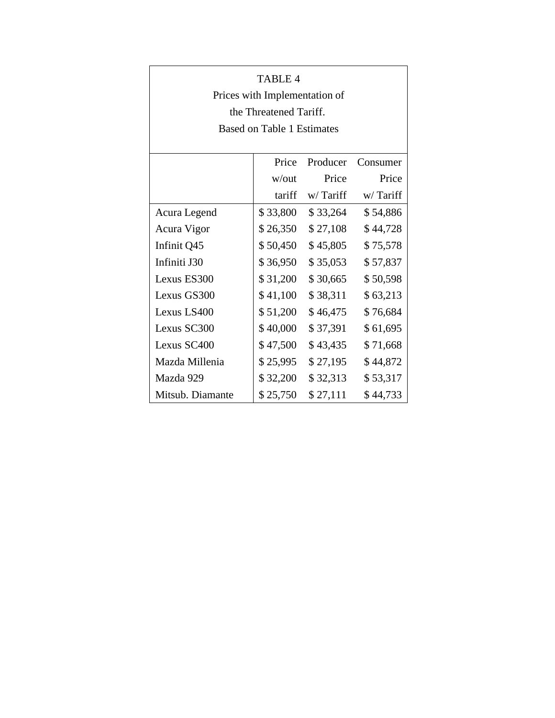| TABLE <sub>4</sub><br>Prices with Implementation of<br>the Threatened Tariff.<br><b>Based on Table 1 Estimates</b> |          |          |          |  |
|--------------------------------------------------------------------------------------------------------------------|----------|----------|----------|--|
|                                                                                                                    | Price    | Producer | Consumer |  |
|                                                                                                                    | w/out    | Price    | Price    |  |
|                                                                                                                    | tariff   | w/Tariff | w/Tariff |  |
| Acura Legend                                                                                                       | \$33,800 | \$33,264 | \$54,886 |  |
| Acura Vigor                                                                                                        | \$26,350 | \$27,108 | \$44,728 |  |
| Infinit Q45                                                                                                        | \$50,450 | \$45,805 | \$75,578 |  |
| Infiniti J30                                                                                                       | \$36,950 | \$35,053 | \$57,837 |  |
| Lexus ES300                                                                                                        | \$31,200 | \$30,665 | \$50,598 |  |
| Lexus GS300                                                                                                        | \$41,100 | \$38,311 | \$63,213 |  |
| Lexus LS400                                                                                                        | \$51,200 | \$46,475 | \$76,684 |  |
| Lexus SC300                                                                                                        | \$40,000 | \$37,391 | \$61,695 |  |
| Lexus SC400                                                                                                        | \$47,500 | \$43,435 | \$71,668 |  |
| Mazda Millenia                                                                                                     | \$25,995 | \$27,195 | \$44,872 |  |
| Mazda 929                                                                                                          | \$32,200 | \$32,313 | \$53,317 |  |
| Mitsub. Diamante                                                                                                   | \$25,750 | \$27,111 | \$44,733 |  |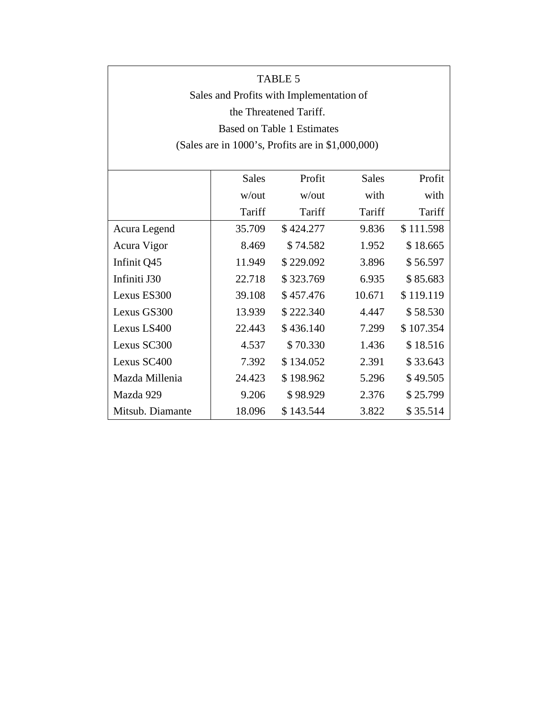| <b>TABLE 5</b>                           |                                                   |           |              |           |
|------------------------------------------|---------------------------------------------------|-----------|--------------|-----------|
| Sales and Profits with Implementation of |                                                   |           |              |           |
| the Threatened Tariff.                   |                                                   |           |              |           |
| <b>Based on Table 1 Estimates</b>        |                                                   |           |              |           |
|                                          | (Sales are in 1000's, Profits are in \$1,000,000) |           |              |           |
|                                          |                                                   |           |              |           |
|                                          | <b>Sales</b>                                      | Profit    | <b>Sales</b> | Profit    |
|                                          | w/out                                             | w/out     | with         | with      |
|                                          | Tariff                                            | Tariff    | Tariff       | Tariff    |
| Acura Legend                             | 35.709                                            | \$424.277 | 9.836        | \$111.598 |
| Acura Vigor                              | 8.469                                             | \$74.582  | 1.952        | \$18.665  |
| Infinit Q45                              | 11.949                                            | \$229.092 | 3.896        | \$56.597  |
| Infiniti J30                             | 22.718                                            | \$323.769 | 6.935        | \$85.683  |
| Lexus ES300                              | 39.108                                            | \$457.476 | 10.671       | \$119.119 |
| Lexus GS300                              | 13.939                                            | \$222.340 | 4.447        | \$58.530  |
| Lexus LS400                              | 22.443                                            | \$436.140 | 7.299        | \$107.354 |
| Lexus SC300                              | 4.537                                             | \$70.330  | 1.436        | \$18.516  |
| Lexus SC400                              | 7.392                                             | \$134.052 | 2.391        | \$33.643  |
| Mazda Millenia                           | 24.423                                            | \$198.962 | 5.296        | \$49.505  |
| Mazda 929                                | 9.206                                             | \$98.929  | 2.376        | \$25.799  |
| Mitsub. Diamante                         | 18.096                                            | \$143.544 | 3.822        | \$35.514  |